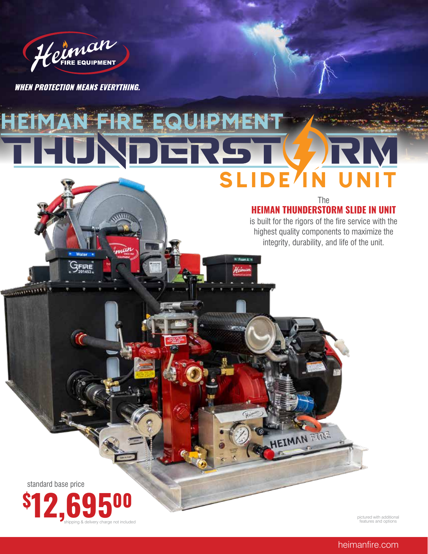

**WHEN PROTECTION MEANS EVERYTHING.** 

**ZFIRE** 

*<u>INTERNATIONAL</u>* 

# HEIMAN FIRE EQUIPMENT SLIDE<sup>/</sup>IN UI

### The **HEIMAN THUNDERSTORM SLIDE IN UNIT**

is built for the rigors of the fire service with the highest quality components to maximize the integrity, durability, and life of the unit.

EIMAN FIRE

standard base price



pictured with additional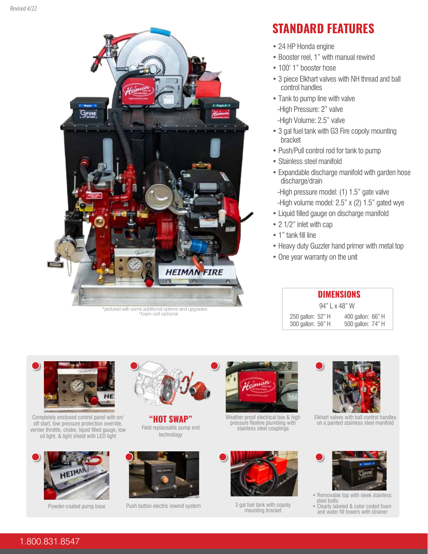

\*pictured with some additional options and upgrades \*foam cell optional

# **STANDARD FEATURES**

- 24 HP Honda engine
- Booster reel, 1" with manual rewind
- 100' 1" booster hose
- 3 piece Elkhart valves with NH thread and ball control handles
- Tank to pump line with valve
- -High Pressure: 2" valve
- -High Volume: 2.5" valve
- 3 gal fuel tank with G3 Fire copoly mounting bracket
- Push/Pull control rod for tank to pump
- Stainless steel manifold
- Expandable discharge manifold with garden hose discharge/drain
- -High pressure model: (1) 1.5" gate valve
- -High volume model: 2.5" x (2) 1.5" gated wye
- Liquid filled gauge on discharge manifold
- 2 1/2" inlet with cap
- 1" tank fill line
- Heavy duty Guzzler hand primer with metal top
- One year warranty on the unit

| <b>DIMENSIONS</b> |  |                   |  |  |  |  |  |
|-------------------|--|-------------------|--|--|--|--|--|
| 94" L x 48" W     |  |                   |  |  |  |  |  |
| 250 gallon: 52" H |  | 400 gallon: 66" H |  |  |  |  |  |
| 300 gallon: 56" H |  | 500 gallon: 74" H |  |  |  |  |  |



Completely enclosed control panel with on/ off start, low pressure protection override, vernier throttle, choke, liquid filled gauge, low oil light, & light shield with LED light





**"HOT SWAP"** Field replaceable pump end technology





Weather proof electrical box & high pressure flexline plumbing with stainless steel couplings



Powder-coated pump base Push button electric rewind system 3 gal fuel tank with copoly<br>mounting bracket



Elkhart valves with ball control handles on a painted stainless steel manifold



- Removable top with sleek stainless steel bolts
- Clearly labeled & color coded foam and water fill towers with strainer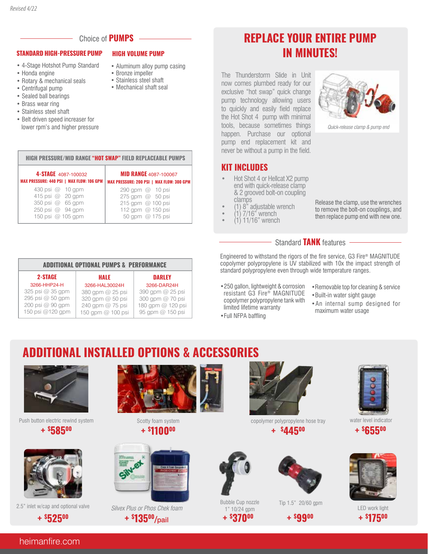

**HIGH PRESSURE/MID RANGE "HOT SWAP" FIELD REPLACEABLE PUMPS**

#### **STANDARD HIGH-PRESSURE PUMP HIGH VOLUME PUMP**

- 4-Stage Hotshot Pump Standard
- Honda engine
- Rotary & mechanical seals
- Centrifugal pump
- Sealed ball bearings
- Brass wear ring
- Stainless steel shaft
- Belt driven speed increaser for lower rpm's and higher pressure

**4-STAGE** 4087-100032 **MAX PRESSURE: 440 PSI | MAX FLOW: 106 GPM**

> 430 psi @ 10 gpm 415 psi @ 20 gpm 350 psi @ 65 gpm 250 psi @ 94 gpm 150 psi @ 105 gpm

• Aluminum alloy pump casing

**MID RANGE** 4087-100067 **MAX PRESSURE: 200 PSI | MAX FLOW: 300 GPM**

> 290 gpm @ 10 psi 275 gpm @ 50 psi 215 gpm @ 100 psi 112 gpm @ 150 psi 50 gpm @ 175 psi

- Bronze impeller
- Stainless steel shaft
- Mechanical shaft seal

## **REPLACE YOUR ENTIRE PUMP IN MINUTES!**

The Thunderstorm Slide in Unit now comes plumbed ready for our exclusive "hot swap" quick change pump technology allowing users to quickly and easily field replace the Hot Shot 4 pump with minimal tools, because sometimes things happen. Purchase our optional pump end replacement kit and never be without a pump in the field.

## **KIT INCLUDES**

- Hot Shot 4 or Hellcat X2 pump end with quick-release clamp & 2 grooved bolt-on coupling clamps
- (1) 8" adjustable wrench
- $(1)$  7/16" wrench
- (1) 11/16" wrench



Quick-release clamp & pump end

Release the clamp, use the wrenches to remove the bolt-on couplings, and then replace pump end with new one.

## Standard **TANK** features

Engineered to withstand the rigors of the fire service, G3 Fire® MAGNITUDE copolymer polypropylene is UV stabilized with 10x the impact strength of standard polypropylene even through wide temperature ranges.

- •250 gallon, lightweight & corrosion resistant G3 Fire® MAGNITUDE copolymer polypropylene tank with limited lifetime warranty
- •Full NFPA baffling

1" 10/24 gpm

- - •Removable top for cleaning & service
	- •Built-in water sight gauge
	- •An internal sump designed for maximum water usage

#### **ADDITIONAL OPTIONAL PUMPS & PERFORMANCE HALE** 3266-HAL30024H 380 gpm @ 25 psi 320 gpm @ 50 psi 240 gpm @ 75 psi 150 gpm @ 100 psi **DARLEY** 3266-DAR24H 390 gpm @ 25 psi 300 gpm @ 70 psi 180 gpm @ 120 psi 95 gpm @ 150 psi **2-STAGE**  3266-HHP24-H 325 psi @ 35 gpm 295 psi @ 50 gpm 200 psi @ 90 gpm 150 psi @120 gpm

# **ADDITIONAL INSTALLED OPTIONS & ACCESSORIES**



Push button electric rewind system **+ \$ 58500** 







Scotty foam system **+ \$ 110000** 



2.5" inlet w/cap and optional valve Silvex Plus or Phos Chek foam **1** and 2008 of the Leo Copyright in the Leo Work light **+ \$ 13500/**pail



**+ \$ 44500**





**+ \$ 37000 + \$ 9900**



water level indicator **+ \$ 65500**



**+ \$ 17500**